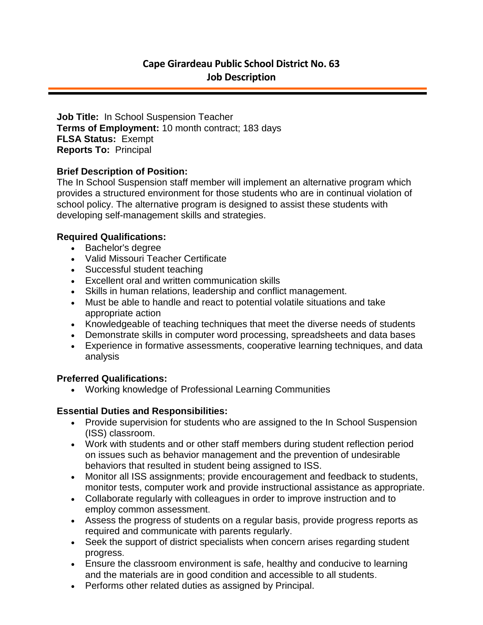**Job Title:** In School Suspension Teacher **Terms of Employment:** 10 month contract; 183 days **FLSA Status:** Exempt **Reports To:** Principal

## **Brief Description of Position:**

The In School Suspension staff member will implement an alternative program which provides a structured environment for those students who are in continual violation of school policy. The alternative program is designed to assist these students with developing self-management skills and strategies.

# **Required Qualifications:**

- Bachelor's degree
- Valid Missouri Teacher Certificate
- Successful student teaching
- Excellent oral and written communication skills
- Skills in human relations, leadership and conflict management.
- Must be able to handle and react to potential volatile situations and take appropriate action
- Knowledgeable of teaching techniques that meet the diverse needs of students
- Demonstrate skills in computer word processing, spreadsheets and data bases
- Experience in formative assessments, cooperative learning techniques, and data analysis

#### **Preferred Qualifications:**

Working knowledge of Professional Learning Communities

# **Essential Duties and Responsibilities:**

- Provide supervision for students who are assigned to the In School Suspension (ISS) classroom.
- Work with students and or other staff members during student reflection period on issues such as behavior management and the prevention of undesirable behaviors that resulted in student being assigned to ISS.
- Monitor all ISS assignments; provide encouragement and feedback to students, monitor tests, computer work and provide instructional assistance as appropriate.
- Collaborate regularly with colleagues in order to improve instruction and to employ common assessment.
- Assess the progress of students on a regular basis, provide progress reports as required and communicate with parents regularly.
- Seek the support of district specialists when concern arises regarding student progress.
- Ensure the classroom environment is safe, healthy and conducive to learning and the materials are in good condition and accessible to all students.
- Performs other related duties as assigned by Principal.